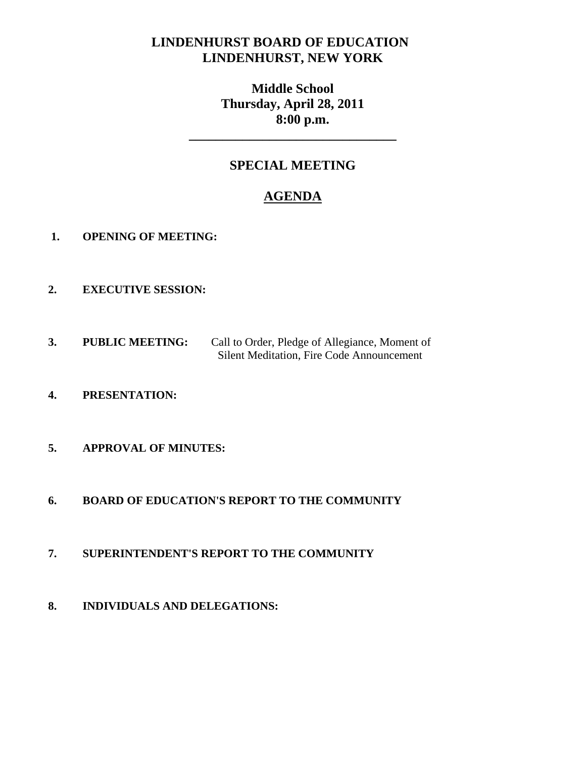# **LINDENHURST BOARD OF EDUCATION LINDENHURST, NEW YORK**

**Middle School Thursday, April 28, 2011 8:00 p.m.** 

# **SPECIAL MEETING**

**\_\_\_\_\_\_\_\_\_\_\_\_\_\_\_\_\_\_\_\_\_\_\_\_\_\_\_\_\_\_\_** 

# **AGENDA**

- **1. OPENING OF MEETING:**
- **2. EXECUTIVE SESSION:**
- **3. PUBLIC MEETING:** Call to Order, Pledge of Allegiance, Moment of Silent Meditation, Fire Code Announcement
- **4. PRESENTATION:**
- **5. APPROVAL OF MINUTES:**
- **6. BOARD OF EDUCATION'S REPORT TO THE COMMUNITY**
- **7. SUPERINTENDENT'S REPORT TO THE COMMUNITY**
- **8. INDIVIDUALS AND DELEGATIONS:**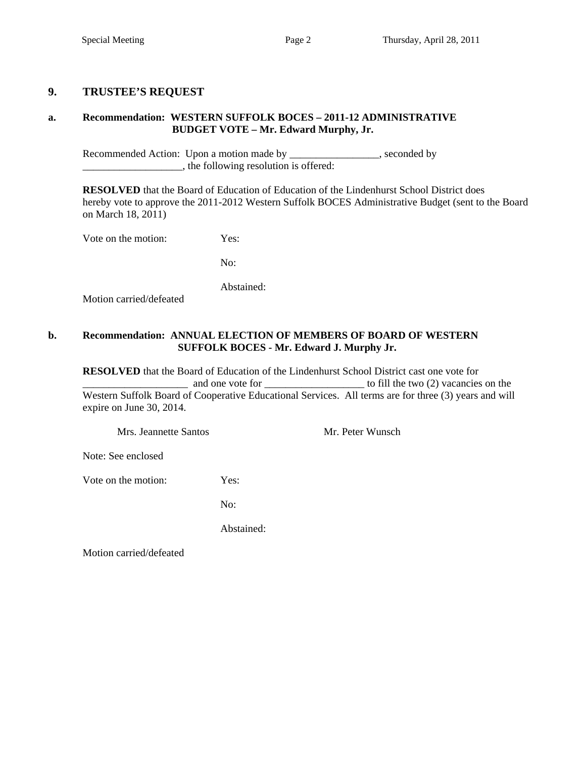### **9. TRUSTEE'S REQUEST**

### **a. Recommendation: WESTERN SUFFOLK BOCES – 2011-12 ADMINISTRATIVE BUDGET VOTE – Mr. Edward Murphy, Jr.**

Recommended Action: Upon a motion made by \_\_\_\_\_\_\_\_\_\_\_\_\_\_, seconded by \_\_\_\_\_\_\_\_\_\_\_\_\_\_\_\_\_\_\_, the following resolution is offered:

 **RESOLVED** that the Board of Education of Education of the Lindenhurst School District does hereby vote to approve the 2011-2012 Western Suffolk BOCES Administrative Budget (sent to the Board on March 18, 2011)

Vote on the motion: Yes:

No:

Abstained:

Motion carried/defeated

#### **b. Recommendation: ANNUAL ELECTION OF MEMBERS OF BOARD OF WESTERN SUFFOLK BOCES - Mr. Edward J. Murphy Jr.**

 **RESOLVED** that the Board of Education of the Lindenhurst School District cast one vote for \_\_\_\_\_\_\_\_\_\_\_\_\_\_\_\_\_\_\_\_ and one vote for \_\_\_\_\_\_\_\_\_\_\_\_\_\_\_\_\_\_\_ to fill the two (2) vacancies on the Western Suffolk Board of Cooperative Educational Services. All terms are for three (3) years and will expire on June 30, 2014.

Mrs. Jeannette Santos Mr. Peter Wunsch

Note: See enclosed

Vote on the motion: Yes:

No:

Abstained:

Motion carried/defeated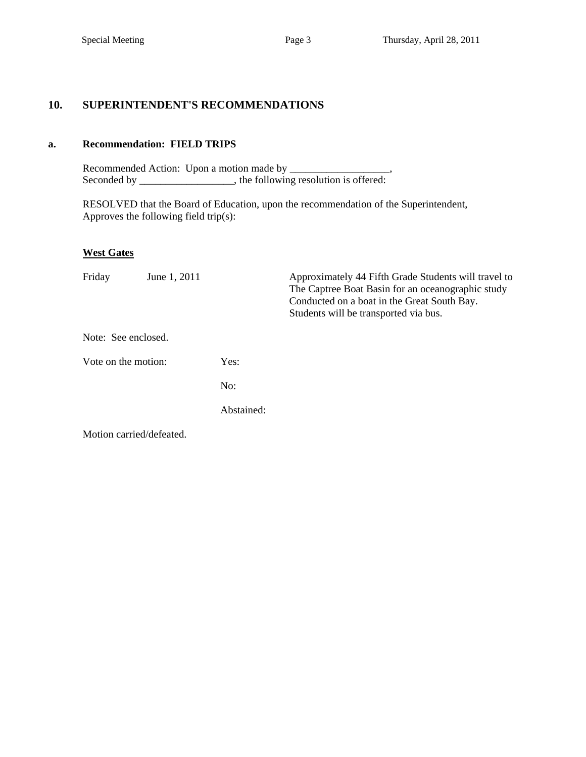### **10. SUPERINTENDENT'S RECOMMENDATIONS**

### **a. Recommendation: FIELD TRIPS**

Recommended Action: Upon a motion made by \_\_\_\_\_\_\_\_\_\_\_\_\_\_\_\_\_\_\_, Seconded by \_\_\_\_\_\_\_\_\_\_\_\_\_\_\_\_\_, the following resolution is offered:

 RESOLVED that the Board of Education, upon the recommendation of the Superintendent, Approves the following field trip(s):

### **West Gates**

| Friday              | June 1, 2011             |            | Approximately 44 Fifth Grade Students will travel to<br>The Captree Boat Basin for an oceanographic study<br>Conducted on a boat in the Great South Bay.<br>Students will be transported via bus. |
|---------------------|--------------------------|------------|---------------------------------------------------------------------------------------------------------------------------------------------------------------------------------------------------|
| Note: See enclosed. |                          |            |                                                                                                                                                                                                   |
| Vote on the motion: |                          | Yes:       |                                                                                                                                                                                                   |
|                     |                          | No:        |                                                                                                                                                                                                   |
|                     |                          | Abstained: |                                                                                                                                                                                                   |
|                     | Motion carried/defeated. |            |                                                                                                                                                                                                   |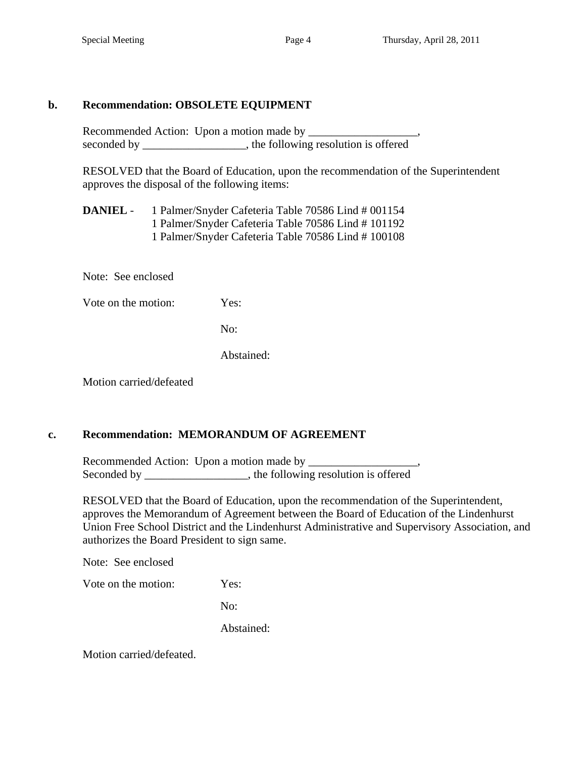### **b. Recommendation: OBSOLETE EQUIPMENT**

Recommended Action: Upon a motion made by \_\_\_\_\_\_\_\_\_\_\_\_\_\_\_\_\_\_\_, seconded by \_\_\_\_\_\_\_\_\_\_\_\_\_\_\_, the following resolution is offered

RESOLVED that the Board of Education, upon the recommendation of the Superintendent approves the disposal of the following items:

 **DANIEL** - 1 Palmer/Snyder Cafeteria Table 70586 Lind # 001154 1 Palmer/Snyder Cafeteria Table 70586 Lind # 101192 1 Palmer/Snyder Cafeteria Table 70586 Lind # 100108

Note: See enclosed

Vote on the motion: Yes:

No:

Abstained:

Motion carried/defeated

### **c. Recommendation: MEMORANDUM OF AGREEMENT**

Recommended Action: Upon a motion made by \_\_\_\_\_\_\_\_\_\_\_\_\_\_\_\_\_\_\_, Seconded by \_\_\_\_\_\_\_\_\_\_\_\_\_\_\_, the following resolution is offered

RESOLVED that the Board of Education, upon the recommendation of the Superintendent, approves the Memorandum of Agreement between the Board of Education of the Lindenhurst Union Free School District and the Lindenhurst Administrative and Supervisory Association, and authorizes the Board President to sign same.

Note: See enclosed

Vote on the motion: Yes:

No:

Abstained:

Motion carried/defeated.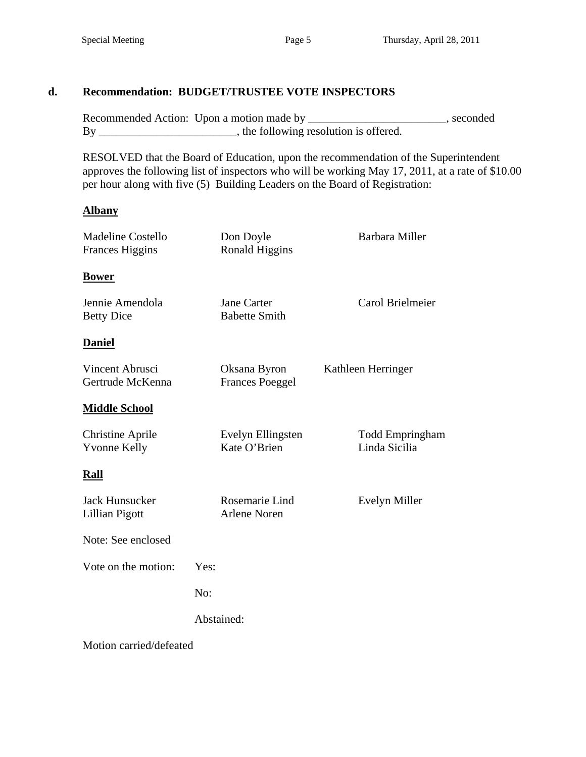## **d. Recommendation: BUDGET/TRUSTEE VOTE INSPECTORS**

Recommended Action: Upon a motion made by \_\_\_\_\_\_\_\_\_\_\_\_\_\_\_\_\_\_\_\_\_\_\_, seconded By \_\_\_\_\_\_\_\_\_\_\_\_\_\_\_\_\_\_\_\_\_\_\_, the following resolution is offered.

 RESOLVED that the Board of Education, upon the recommendation of the Superintendent approves the following list of inspectors who will be working May 17, 2011, at a rate of \$10.00 per hour along with five (5) Building Leaders on the Board of Registration:

### **Albany**

| <b>Madeline Costello</b><br><b>Frances Higgins</b> |      | Don Doyle<br>Ronald Higgins            | <b>Barbara Miller</b>                   |  |
|----------------------------------------------------|------|----------------------------------------|-----------------------------------------|--|
| <b>Bower</b>                                       |      |                                        |                                         |  |
| Jennie Amendola<br><b>Betty Dice</b>               |      | Jane Carter<br><b>Babette Smith</b>    | Carol Brielmeier                        |  |
| <b>Daniel</b>                                      |      |                                        |                                         |  |
| Vincent Abrusci<br>Gertrude McKenna                |      | Oksana Byron<br><b>Frances Poeggel</b> | Kathleen Herringer                      |  |
| <b>Middle School</b>                               |      |                                        |                                         |  |
| <b>Christine Aprile</b><br><b>Yvonne Kelly</b>     |      | Evelyn Ellingsten<br>Kate O'Brien      | <b>Todd Empringham</b><br>Linda Sicilia |  |
| Rall                                               |      |                                        |                                         |  |
| <b>Jack Hunsucker</b><br>Lillian Pigott            |      | Rosemarie Lind<br><b>Arlene Noren</b>  | Evelyn Miller                           |  |
| Note: See enclosed                                 |      |                                        |                                         |  |
| Vote on the motion:                                | Yes: |                                        |                                         |  |
|                                                    | No:  |                                        |                                         |  |
|                                                    |      | Abstained:                             |                                         |  |
|                                                    |      |                                        |                                         |  |

Motion carried/defeated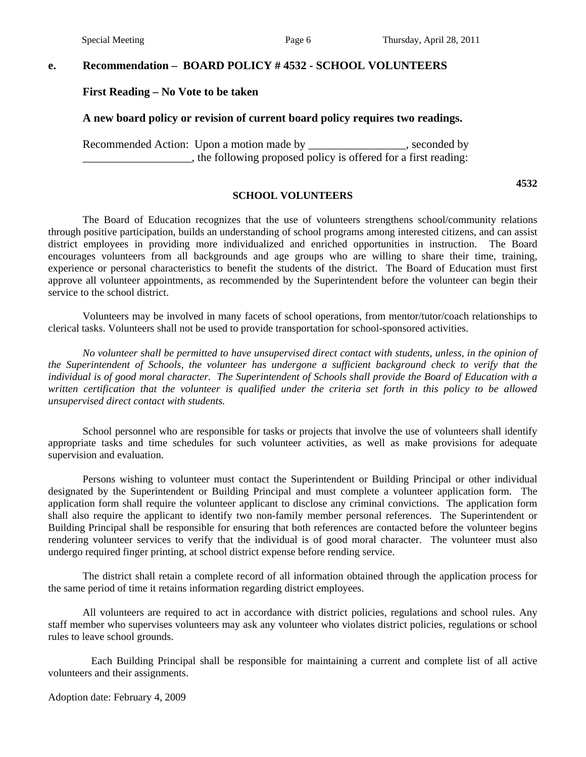#### **e. Recommendation – BOARD POLICY # 4532 - SCHOOL VOLUNTEERS**

#### **First Reading – No Vote to be taken**

#### **A new board policy or revision of current board policy requires two readings.**

Recommended Action: Upon a motion made by \_\_\_\_\_\_\_\_\_\_\_\_\_\_\_\_, seconded by  $\Box$ , the following proposed policy is offered for a first reading:

**4532** 

#### **SCHOOL VOLUNTEERS**

 The Board of Education recognizes that the use of volunteers strengthens school/community relations through positive participation, builds an understanding of school programs among interested citizens, and can assist district employees in providing more individualized and enriched opportunities in instruction. The Board encourages volunteers from all backgrounds and age groups who are willing to share their time, training, experience or personal characteristics to benefit the students of the district. The Board of Education must first approve all volunteer appointments, as recommended by the Superintendent before the volunteer can begin their service to the school district.

 Volunteers may be involved in many facets of school operations, from mentor/tutor/coach relationships to clerical tasks. Volunteers shall not be used to provide transportation for school-sponsored activities.

 *No volunteer shall be permitted to have unsupervised direct contact with students, unless, in the opinion of the Superintendent of Schools, the volunteer has undergone a sufficient background check to verify that the individual is of good moral character. The Superintendent of Schools shall provide the Board of Education with a*  written certification that the volunteer is qualified under the criteria set forth in this policy to be allowed *unsupervised direct contact with students.* 

 School personnel who are responsible for tasks or projects that involve the use of volunteers shall identify appropriate tasks and time schedules for such volunteer activities, as well as make provisions for adequate supervision and evaluation.

Persons wishing to volunteer must contact the Superintendent or Building Principal or other individual designated by the Superintendent or Building Principal and must complete a volunteer application form. The application form shall require the volunteer applicant to disclose any criminal convictions. The application form shall also require the applicant to identify two non-family member personal references. The Superintendent or Building Principal shall be responsible for ensuring that both references are contacted before the volunteer begins rendering volunteer services to verify that the individual is of good moral character. The volunteer must also undergo required finger printing, at school district expense before rending service.

The district shall retain a complete record of all information obtained through the application process for the same period of time it retains information regarding district employees.

All volunteers are required to act in accordance with district policies, regulations and school rules. Any staff member who supervises volunteers may ask any volunteer who violates district policies, regulations or school rules to leave school grounds.

 Each Building Principal shall be responsible for maintaining a current and complete list of all active volunteers and their assignments.

Adoption date: February 4, 2009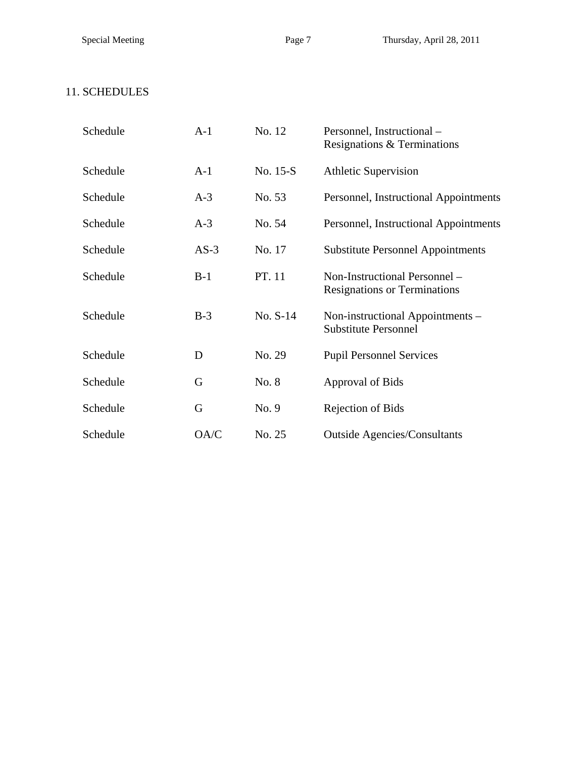# 11. SCHEDULES

| Schedule | $A-1$  | No. 12   | Personnel, Instructional -<br>Resignations & Terminations            |
|----------|--------|----------|----------------------------------------------------------------------|
| Schedule | $A-1$  | No. 15-S | <b>Athletic Supervision</b>                                          |
| Schedule | $A-3$  | No. 53   | Personnel, Instructional Appointments                                |
| Schedule | $A-3$  | No. 54   | Personnel, Instructional Appointments                                |
| Schedule | $AS-3$ | No. 17   | <b>Substitute Personnel Appointments</b>                             |
| Schedule | $B-1$  | PT. 11   | Non-Instructional Personnel -<br><b>Resignations or Terminations</b> |
| Schedule | $B-3$  | No. S-14 | Non-instructional Appointments -<br><b>Substitute Personnel</b>      |
| Schedule | D      | No. 29   | <b>Pupil Personnel Services</b>                                      |
| Schedule | G      | No. 8    | Approval of Bids                                                     |
| Schedule | G      | No. 9    | Rejection of Bids                                                    |
| Schedule | OA/C   | No. 25   | <b>Outside Agencies/Consultants</b>                                  |